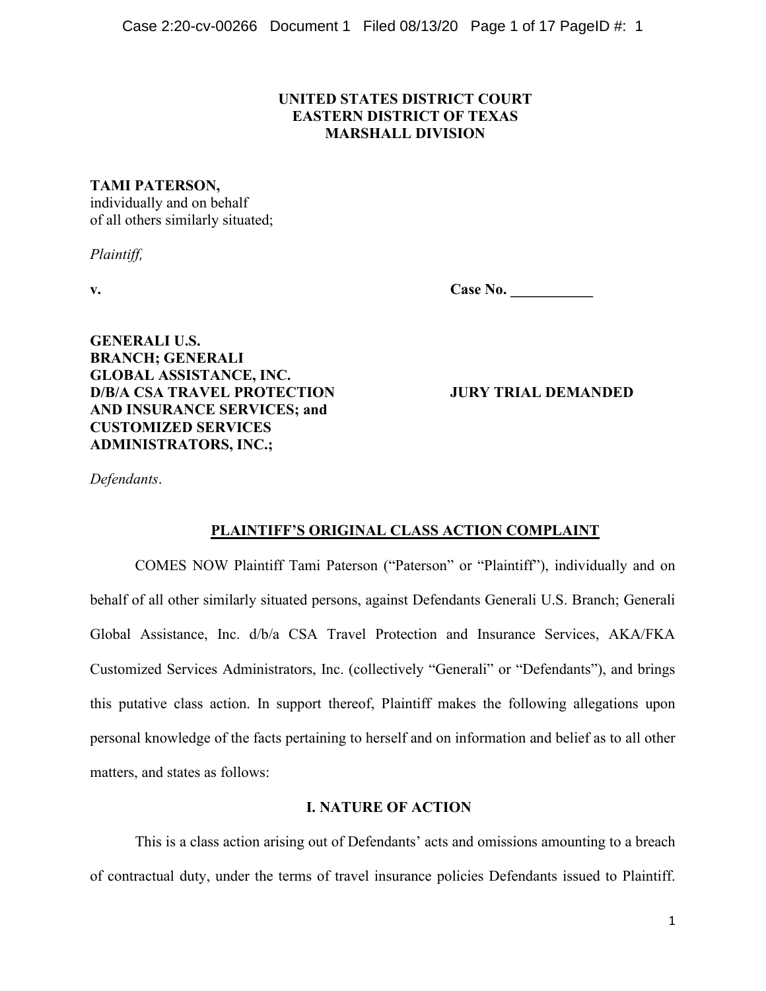## **UNITED STATES DISTRICT COURT EASTERN DISTRICT OF TEXAS MARSHALL DIVISION**

## **TAMI PATERSON,**

individually and on behalf of all others similarly situated;

*Plaintiff,*

**v. Case No. \_\_\_\_\_\_\_\_\_\_\_**

**GENERALI U.S. BRANCH; GENERALI GLOBAL ASSISTANCE, INC. D/B/A CSA TRAVEL PROTECTION JURY TRIAL DEMANDED AND INSURANCE SERVICES; and CUSTOMIZED SERVICES ADMINISTRATORS, INC.;** 

*Defendants*.

# **PLAINTIFF'S ORIGINAL CLASS ACTION COMPLAINT**

COMES NOW Plaintiff Tami Paterson ("Paterson" or "Plaintiff"), individually and on behalf of all other similarly situated persons, against Defendants Generali U.S. Branch; Generali Global Assistance, Inc. d/b/a CSA Travel Protection and Insurance Services, AKA/FKA Customized Services Administrators, Inc. (collectively "Generali" or "Defendants"), and brings this putative class action. In support thereof, Plaintiff makes the following allegations upon personal knowledge of the facts pertaining to herself and on information and belief as to all other matters, and states as follows:

# **I. NATURE OF ACTION**

This is a class action arising out of Defendants' acts and omissions amounting to a breach of contractual duty, under the terms of travel insurance policies Defendants issued to Plaintiff.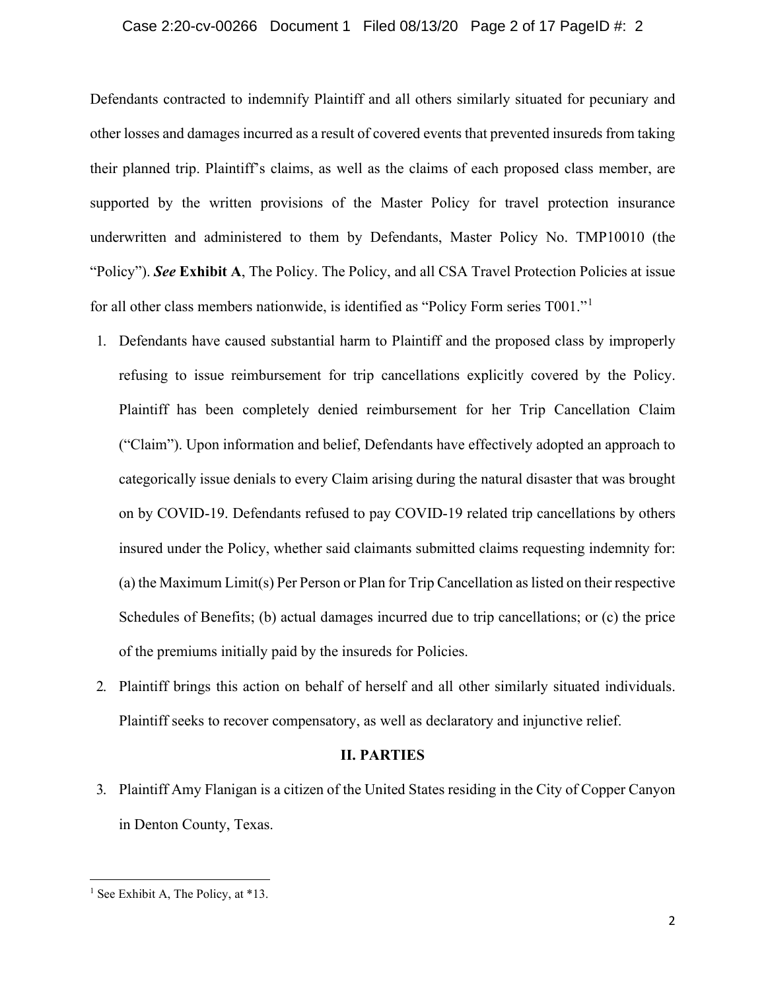#### Case 2:20-cv-00266 Document 1 Filed 08/13/20 Page 2 of 17 PageID #: 2

Defendants contracted to indemnify Plaintiff and all others similarly situated for pecuniary and other losses and damages incurred as a result of covered events that prevented insureds from taking their planned trip. Plaintiff's claims, as well as the claims of each proposed class member, are supported by the written provisions of the Master Policy for travel protection insurance underwritten and administered to them by Defendants, Master Policy No. TMP10010 (the "Policy"). *See* **Exhibit A**, The Policy. The Policy, and all CSA Travel Protection Policies at issue for all other class members nationwide, is identified as "Policy Form series T001."[1](#page-1-0)

- 1. Defendants have caused substantial harm to Plaintiff and the proposed class by improperly refusing to issue reimbursement for trip cancellations explicitly covered by the Policy. Plaintiff has been completely denied reimbursement for her Trip Cancellation Claim ("Claim"). Upon information and belief, Defendants have effectively adopted an approach to categorically issue denials to every Claim arising during the natural disaster that was brought on by COVID-19. Defendants refused to pay COVID-19 related trip cancellations by others insured under the Policy, whether said claimants submitted claims requesting indemnity for: (a) the Maximum Limit(s) Per Person or Plan for Trip Cancellation as listed on their respective Schedules of Benefits; (b) actual damages incurred due to trip cancellations; or (c) the price of the premiums initially paid by the insureds for Policies.
- 2. Plaintiff brings this action on behalf of herself and all other similarly situated individuals. Plaintiff seeks to recover compensatory, as well as declaratory and injunctive relief.

### **II. PARTIES**

3. Plaintiff Amy Flanigan is a citizen of the United States residing in the City of Copper Canyon in Denton County, Texas.

<span id="page-1-0"></span><sup>&</sup>lt;sup>1</sup> See Exhibit A, The Policy, at  $*13$ .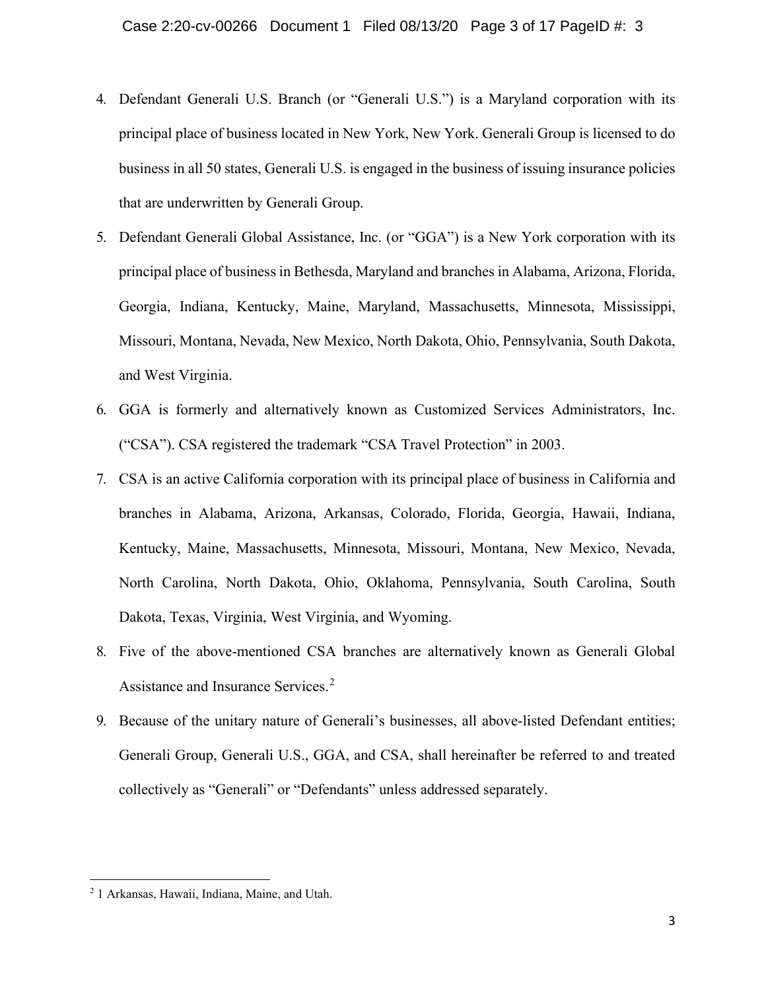- 4. Defendant Generali U.S. Branch (or "Generali U.S.") is a Maryland corporation with its principal place of business located in New York, New York. Generali Group is licensed to do business in all 50 states, Generali U.S. is engaged in the business of issuing insurance policies that are underwritten by Generali Group.
- 5. Defendant Generali Global Assistance, Inc. (or "GGA") is a New York corporation with its principal place of business in Bethesda, Maryland and branches in Alabama, Arizona, Florida, Georgia, Indiana, Kentucky, Maine, Maryland, Massachusetts, Minnesota, Mississippi, Missouri, Montana, Nevada, New Mexico, North Dakota, Ohio, Pennsylvania, South Dakota, and West Virginia.
- 6. GGA is formerly and alternatively known as Customized Services Administrators, Inc. ("CSA"). CSA registered the trademark "CSA Travel Protection" in 2003.
- 7. CSA is an active California corporation with its principal place of business in California and branches in Alabama, Arizona, Arkansas, Colorado, Florida, Georgia, Hawaii, Indiana, Kentucky, Maine, Massachusetts, Minnesota, Missouri, Montana, New Mexico, Nevada, North Carolina, North Dakota, Ohio, Oklahoma, Pennsylvania, South Carolina, South Dakota, Texas, Virginia, West Virginia, and Wyoming.
- 8. Five of the above-mentioned CSA branches are alternatively known as Generali Global Assistance and Insurance Services.<sup>[2](#page-2-0)</sup>
- 9. Because of the unitary nature of Generali's businesses, all above-listed Defendant entities; Generali Group, Generali U.S., GGA, and CSA, shall hereinafter be referred to and treated collectively as "Generali" or "Defendants" unless addressed separately.

<span id="page-2-0"></span><sup>2</sup> 1 Arkansas, Hawaii, Indiana, Maine, and Utah.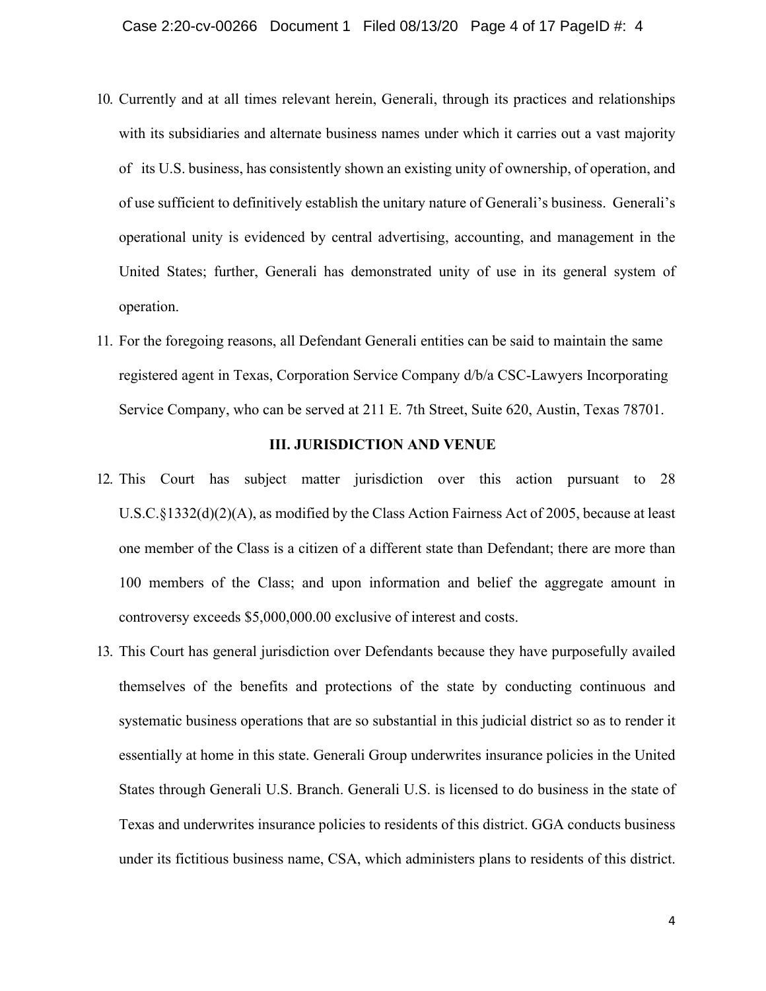- 10. Currently and at all times relevant herein, Generali, through its practices and relationships with its subsidiaries and alternate business names under which it carries out a vast majority of its U.S. business, has consistently shown an existing unity of ownership, of operation, and of use sufficient to definitively establish the unitary nature of Generali's business. Generali's operational unity is evidenced by central advertising, accounting, and management in the United States; further, Generali has demonstrated unity of use in its general system of operation.
- 11. For the foregoing reasons, all Defendant Generali entities can be said to maintain the same registered agent in Texas, Corporation Service Company d/b/a CSC-Lawyers Incorporating Service Company, who can be served at 211 E. 7th Street, Suite 620, Austin, Texas 78701.

### **III. JURISDICTION AND VENUE**

- 12. This Court has subject matter jurisdiction over this action pursuant to 28 U.S.C.§1332(d)(2)(A), as modified by the Class Action Fairness Act of 2005, because at least one member of the Class is a citizen of a different state than Defendant; there are more than 100 members of the Class; and upon information and belief the aggregate amount in controversy exceeds \$5,000,000.00 exclusive of interest and costs.
- 13. This Court has general jurisdiction over Defendants because they have purposefully availed themselves of the benefits and protections of the state by conducting continuous and systematic business operations that are so substantial in this judicial district so as to render it essentially at home in this state. Generali Group underwrites insurance policies in the United States through Generali U.S. Branch. Generali U.S. is licensed to do business in the state of Texas and underwrites insurance policies to residents of this district. GGA conducts business under its fictitious business name, CSA, which administers plans to residents of this district.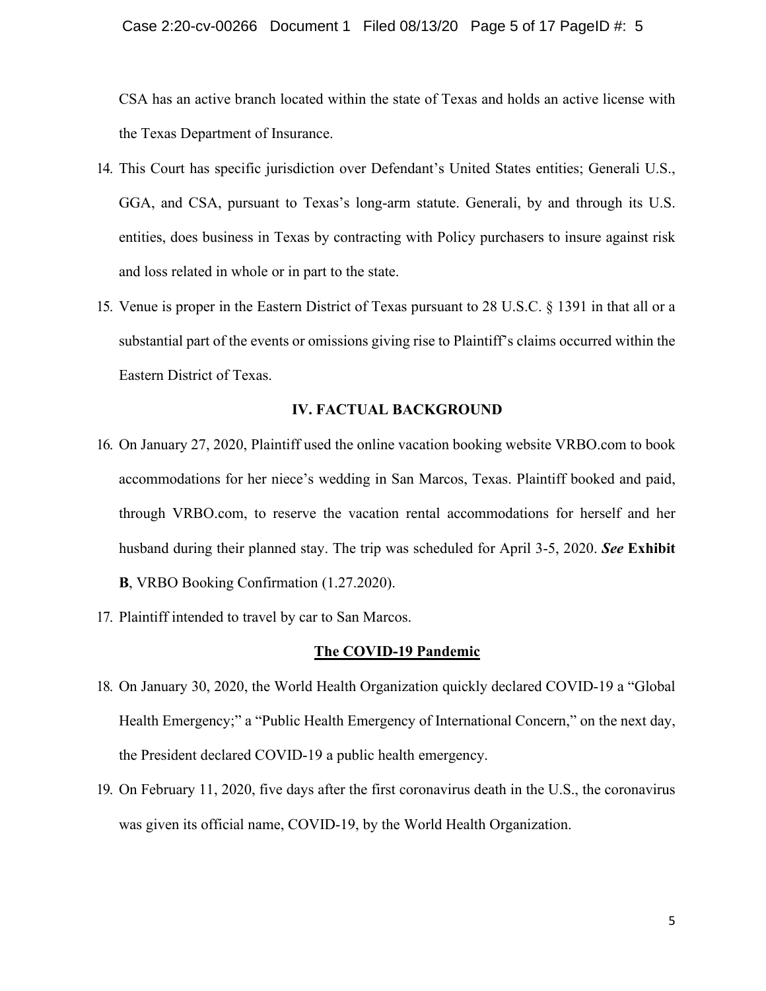CSA has an active branch located within the state of Texas and holds an active license with the Texas Department of Insurance.

- 14. This Court has specific jurisdiction over Defendant's United States entities; Generali U.S., GGA, and CSA, pursuant to Texas's long-arm statute. Generali, by and through its U.S. entities, does business in Texas by contracting with Policy purchasers to insure against risk and loss related in whole or in part to the state.
- 15. Venue is proper in the Eastern District of Texas pursuant to 28 U.S.C. § 1391 in that all or a substantial part of the events or omissions giving rise to Plaintiff's claims occurred within the Eastern District of Texas.

### **IV. FACTUAL BACKGROUND**

- 16. On January 27, 2020, Plaintiff used the online vacation booking website VRBO.com to book accommodations for her niece's wedding in San Marcos, Texas. Plaintiff booked and paid, through VRBO.com, to reserve the vacation rental accommodations for herself and her husband during their planned stay. The trip was scheduled for April 3-5, 2020. *See* **Exhibit B**, VRBO Booking Confirmation (1.27.2020).
- 17. Plaintiff intended to travel by car to San Marcos.

### **The COVID-19 Pandemic**

- 18. On January 30, 2020, the World Health Organization quickly declared COVID-19 a "Global Health Emergency;" a "Public Health Emergency of International Concern," on the next day, the President declared COVID-19 a public health emergency.
- 19. On February 11, 2020, five days after the first coronavirus death in the U.S., the coronavirus was given its official name, COVID-19, by the World Health Organization.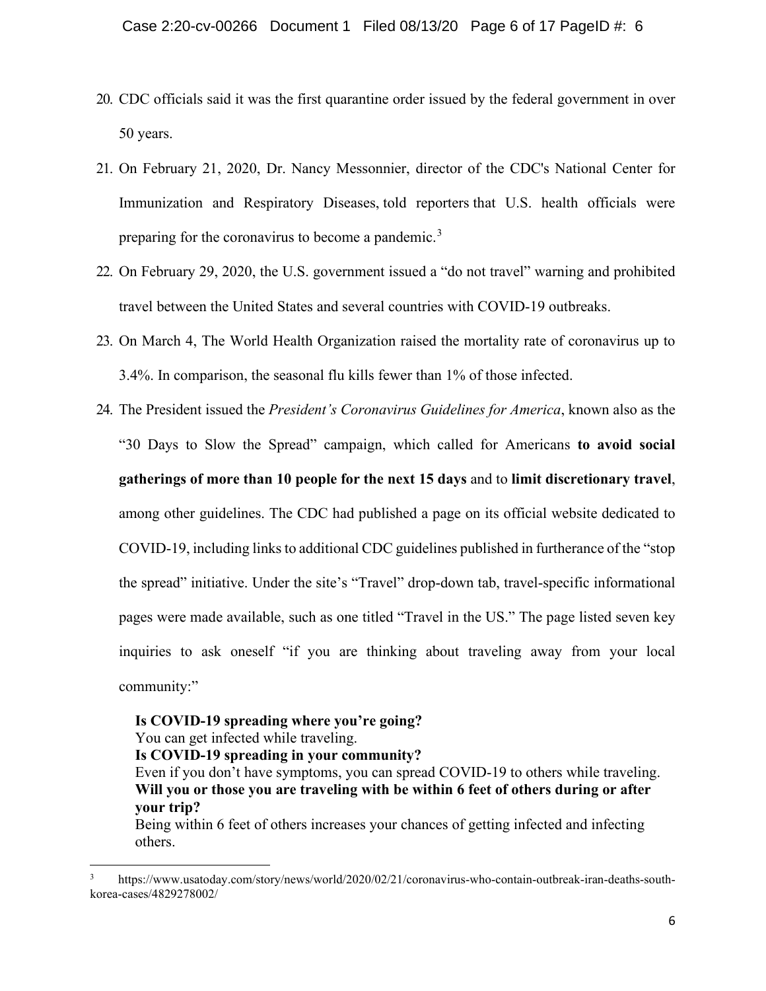- 20. CDC officials said it was the first quarantine order issued by the federal government in over 50 years.
- 21. On February 21, 2020, Dr. Nancy Messonnier, director of the CDC's National Center for Immunization and Respiratory Diseases, told reporters that U.S. health officials were preparing for the coronavirus to become a pandemic.<sup>[3](#page-5-0)</sup>
- 22. On February 29, 2020, the U.S. government issued a "do not travel" warning and prohibited travel between the United States and several countries with COVID-19 outbreaks.
- 23. On March 4, The World Health Organization raised the mortality rate of coronavirus up to 3.4%. In comparison, the seasonal flu kills fewer than 1% of those infected.
- 24. The President issued the *President's Coronavirus Guidelines for America*, known also as the "30 Days to Slow the Spread" campaign, which called for Americans **to avoid social gatherings of more than 10 people for the next 15 days** and to **limit discretionary travel**, among other guidelines. The CDC had published a page on its official website dedicated to COVID-19, including links to additional CDC guidelines published in furtherance of the "stop the spread" initiative. Under the site's "Travel" drop-down tab, travel-specific informational pages were made available, such as one titled "Travel in the US." The page listed seven key inquiries to ask oneself "if you are thinking about traveling away from your local community:"

# **Is COVID-19 spreading where you're going?**

You can get infected while traveling.

**Is COVID-19 spreading in your community?**

Even if you don't have symptoms, you can spread COVID-19 to others while traveling. **Will you or those you are traveling with be within 6 feet of others during or after your trip?**

Being within 6 feet of others increases your chances of getting infected and infecting others.

<span id="page-5-0"></span><sup>3</sup> https://www.usatoday.com/story/news/world/2020/02/21/coronavirus-who-contain-outbreak-iran-deaths-southkorea-cases/4829278002/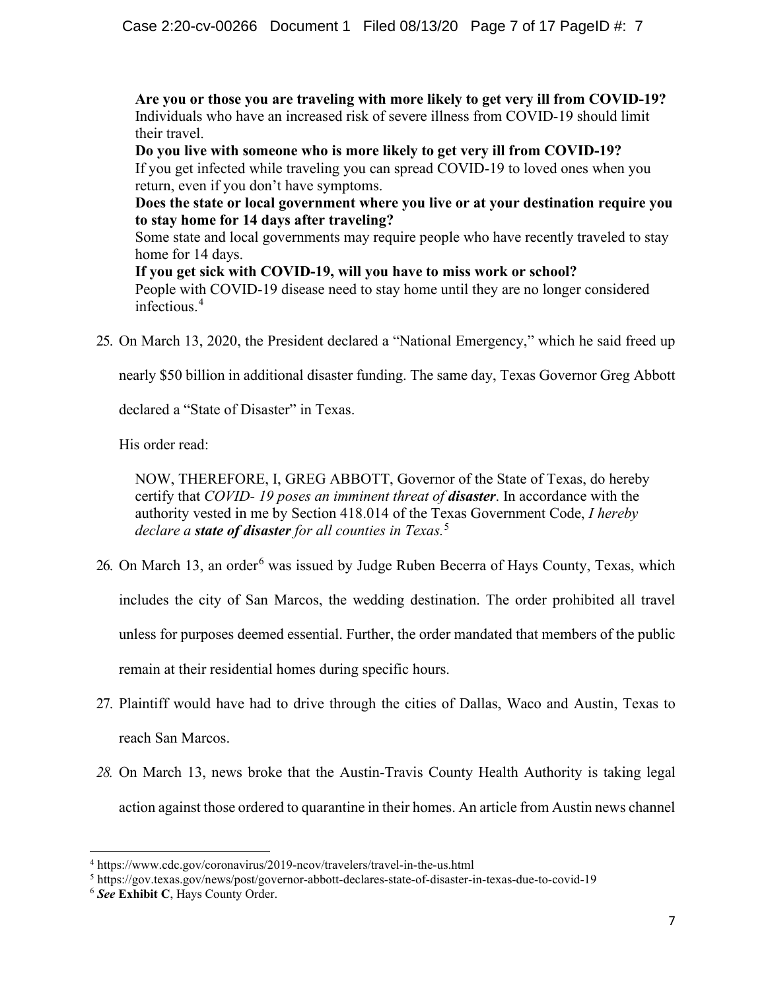**Are you or those you are traveling with more likely to get very ill from COVID-19?** Individuals who have an increased risk of severe illness from COVID-19 should limit their travel.

**Do you live with someone who is more likely to get very ill from COVID-19?** If you get infected while traveling you can spread COVID-19 to loved ones when you return, even if you don't have symptoms.

**Does the state or local government where you live or at your destination require you to stay home for 14 days after traveling?**

Some state and local governments may require people who have recently traveled to stay home for 14 days.

**If you get sick with COVID-19, will you have to miss work or school?** People with COVID-19 disease need to stay home until they are no longer considered infectious.<sup>[4](#page-6-0)</sup>

25. On March 13, 2020, the President declared a "National Emergency," which he said freed up

nearly \$50 billion in additional disaster funding. The same day, Texas Governor Greg Abbott

declared a "State of Disaster" in Texas.

His order read:

NOW, THEREFORE, I, GREG ABBOTT, Governor of the State of Texas, do hereby certify that *COVID- 19 poses an imminent threat of disaster*. In accordance with the authority vested in me by Section 418.014 of the Texas Government Code, *I hereby declare a state of disaster for all counties in Texas.*[5](#page-6-1)

2[6](#page-6-2). On March 13, an order<sup>6</sup> was issued by Judge Ruben Becerra of Hays County, Texas, which includes the city of San Marcos, the wedding destination. The order prohibited all travel unless for purposes deemed essential. Further, the order mandated that members of the public

remain at their residential homes during specific hours.

- 27. Plaintiff would have had to drive through the cities of Dallas, Waco and Austin, Texas to reach San Marcos.
- *28.* On March 13, news broke that the Austin-Travis County Health Authority is taking legal action against those ordered to quarantine in their homes. An article from Austin news channel

<span id="page-6-0"></span><sup>4</sup> https://www.cdc.gov/coronavirus/2019-ncov/travelers/travel-in-the-us.html

<span id="page-6-1"></span><sup>5</sup> https://gov.texas.gov/news/post/governor-abbott-declares-state-of-disaster-in-texas-due-to-covid-19

<span id="page-6-2"></span><sup>6</sup> *See* **Exhibit C**, Hays County Order.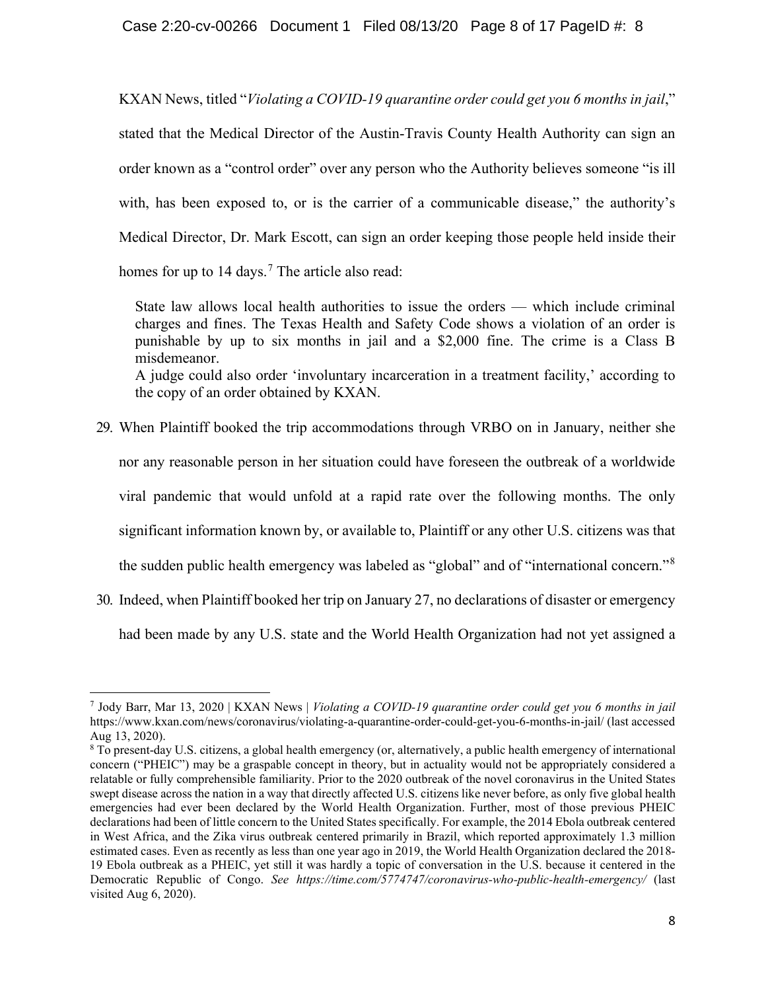### Case 2:20-cv-00266 Document 1 Filed 08/13/20 Page 8 of 17 PageID #: 8

KXAN News, titled "*Violating a COVID-19 quarantine order could get you 6 months in jail*," stated that the Medical Director of the Austin-Travis County Health Authority can sign an order known as a "control order" over any person who the Authority believes someone "is ill with, has been exposed to, or is the carrier of a communicable disease," the authority's Medical Director, Dr. Mark Escott, can sign an order keeping those people held inside their homes for up to 14 days.<sup>[7](#page-7-0)</sup> The article also read:

State law allows local health authorities to issue the orders — which include criminal charges and fines. The Texas Health and Safety Code shows a violation of an order is punishable by up to six months in jail and a \$2,000 fine. The crime is a Class B misdemeanor. A judge could also order 'involuntary incarceration in a treatment facility,' according to the copy of an order obtained by KXAN.

- 29. When Plaintiff booked the trip accommodations through VRBO on in January, neither she nor any reasonable person in her situation could have foreseen the outbreak of a worldwide viral pandemic that would unfold at a rapid rate over the following months. The only significant information known by, or available to, Plaintiff or any other U.S. citizens was that the sudden public health emergency was labeled as "global" and of "international concern."[8](#page-7-1)
- 30. Indeed, when Plaintiff booked her trip on January 27, no declarations of disaster or emergency

had been made by any U.S. state and the World Health Organization had not yet assigned a

<span id="page-7-0"></span><sup>7</sup> Jody Barr, Mar 13, 2020 | KXAN News | *Violating a COVID-19 quarantine order could get you 6 months in jail*  https://www.kxan.com/news/coronavirus/violating-a-quarantine-order-could-get-you-6-months-in-jail/ (last accessed Aug 13, 2020).

<span id="page-7-1"></span><sup>8</sup> To present-day U.S. citizens, a global health emergency (or, alternatively, a public health emergency of international concern ("PHEIC") may be a graspable concept in theory, but in actuality would not be appropriately considered a relatable or fully comprehensible familiarity. Prior to the 2020 outbreak of the novel coronavirus in the United States swept disease across the nation in a way that directly affected U.S. citizens like never before, as only five global health emergencies had ever been declared by the World Health Organization. Further, most of those previous PHEIC declarations had been of little concern to the United States specifically. For example, the 2014 Ebola outbreak centered in West Africa, and the Zika virus outbreak centered primarily in Brazil, which reported approximately 1.3 million estimated cases. Even as recently as less than one year ago in 2019, the World Health Organization declared the 2018- 19 Ebola outbreak as a PHEIC, yet still it was hardly a topic of conversation in the U.S. because it centered in the Democratic Republic of Congo. *See https://time.com/5774747/coronavirus-who-public-health-emergency/* (last visited Aug 6, 2020).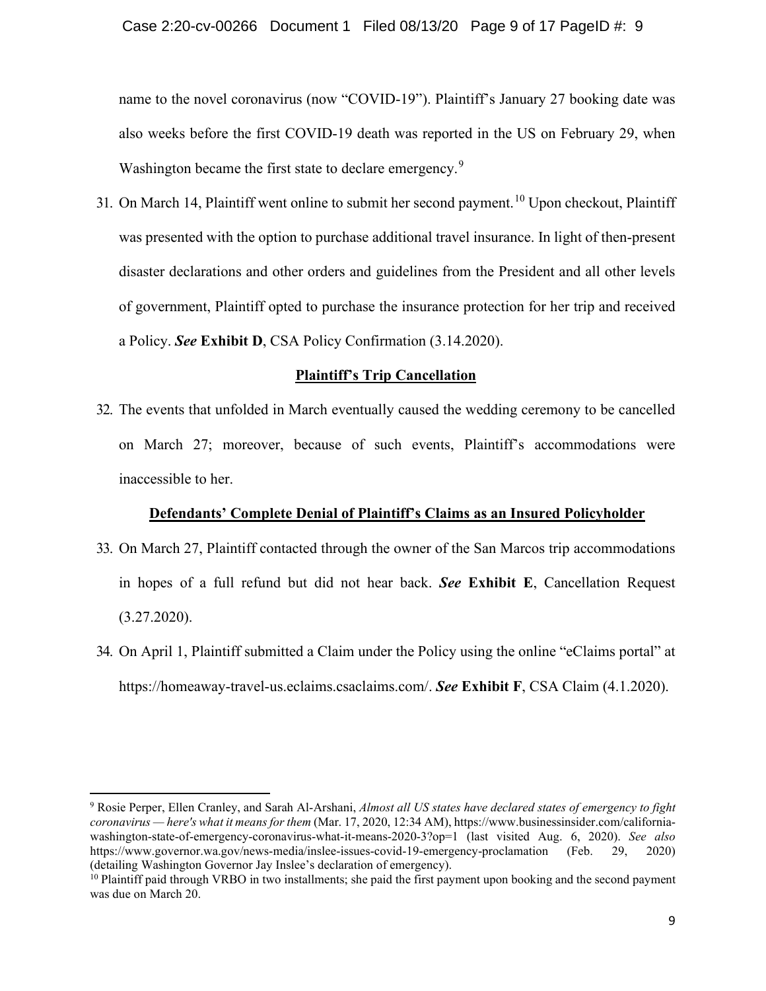name to the novel coronavirus (now "COVID-19"). Plaintiff's January 27 booking date was also weeks before the first COVID-19 death was reported in the US on February 29, when Washington became the first state to declare emergency.<sup>[9](#page-8-0)</sup>

31. On March 14, Plaintiff went online to submit her second payment.<sup>[10](#page-8-1)</sup> Upon checkout, Plaintiff was presented with the option to purchase additional travel insurance. In light of then-present disaster declarations and other orders and guidelines from the President and all other levels of government, Plaintiff opted to purchase the insurance protection for her trip and received a Policy. *See* **Exhibit D**, CSA Policy Confirmation (3.14.2020).

## **Plaintiff's Trip Cancellation**

32. The events that unfolded in March eventually caused the wedding ceremony to be cancelled on March 27; moreover, because of such events, Plaintiff's accommodations were inaccessible to her.

## **Defendants' Complete Denial of Plaintiff's Claims as an Insured Policyholder**

- 33. On March 27, Plaintiff contacted through the owner of the San Marcos trip accommodations in hopes of a full refund but did not hear back. *See* **Exhibit E**, Cancellation Request (3.27.2020).
- 34. On April 1, Plaintiff submitted a Claim under the Policy using the online "eClaims portal" at https://homeaway-travel-us.eclaims.csaclaims.com/. *See* **Exhibit F**, CSA Claim (4.1.2020).

<span id="page-8-0"></span><sup>9</sup> Rosie Perper, Ellen Cranley, and Sarah Al-Arshani, *Almost all US states have declared states of emergency to fight coronavirus — here's what it means for them* (Mar. 17, 2020, 12:34 AM), https://www.businessinsider.com/californiawashington-state-of-emergency-coronavirus-what-it-means-2020-3?op=1 (last visited Aug. 6, 2020). *See also* https://www.governor.wa.gov/news-media/inslee-issues-covid-19-emergency-proclamation (Feb. 29, 2020) (detailing Washington Governor Jay Inslee's declaration of emergency).

<span id="page-8-1"></span><sup>&</sup>lt;sup>10</sup> Plaintiff paid through VRBO in two installments; she paid the first payment upon booking and the second payment was due on March 20.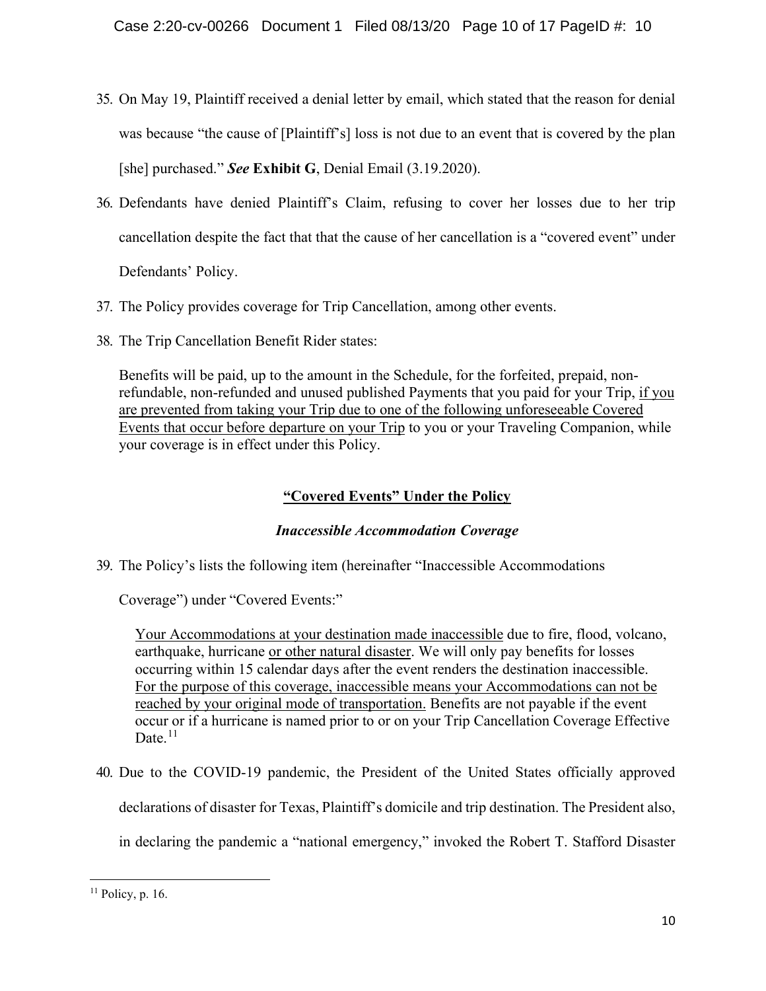- 35. On May 19, Plaintiff received a denial letter by email, which stated that the reason for denial was because "the cause of [Plaintiff's] loss is not due to an event that is covered by the plan [she] purchased." *See* **Exhibit G**, Denial Email (3.19.2020).
- 36. Defendants have denied Plaintiff's Claim, refusing to cover her losses due to her trip cancellation despite the fact that that the cause of her cancellation is a "covered event" under

Defendants' Policy.

- 37. The Policy provides coverage for Trip Cancellation, among other events.
- 38. The Trip Cancellation Benefit Rider states:

Benefits will be paid, up to the amount in the Schedule, for the forfeited, prepaid, nonrefundable, non-refunded and unused published Payments that you paid for your Trip, if you are prevented from taking your Trip due to one of the following unforeseeable Covered Events that occur before departure on your Trip to you or your Traveling Companion, while your coverage is in effect under this Policy.

# **"Covered Events" Under the Policy**

# *Inaccessible Accommodation Coverage*

39. The Policy's lists the following item (hereinafter "Inaccessible Accommodations

Coverage") under "Covered Events:"

Your Accommodations at your destination made inaccessible due to fire, flood, volcano, earthquake, hurricane or other natural disaster. We will only pay benefits for losses occurring within 15 calendar days after the event renders the destination inaccessible. For the purpose of this coverage, inaccessible means your Accommodations can not be reached by your original mode of transportation. Benefits are not payable if the event occur or if a hurricane is named prior to or on your Trip Cancellation Coverage Effective Date. $11$ 

40. Due to the COVID-19 pandemic, the President of the United States officially approved

declarations of disaster for Texas, Plaintiff's domicile and trip destination. The President also,

in declaring the pandemic a "national emergency," invoked the Robert T. Stafford Disaster

<span id="page-9-0"></span> $11$  Policy, p. 16.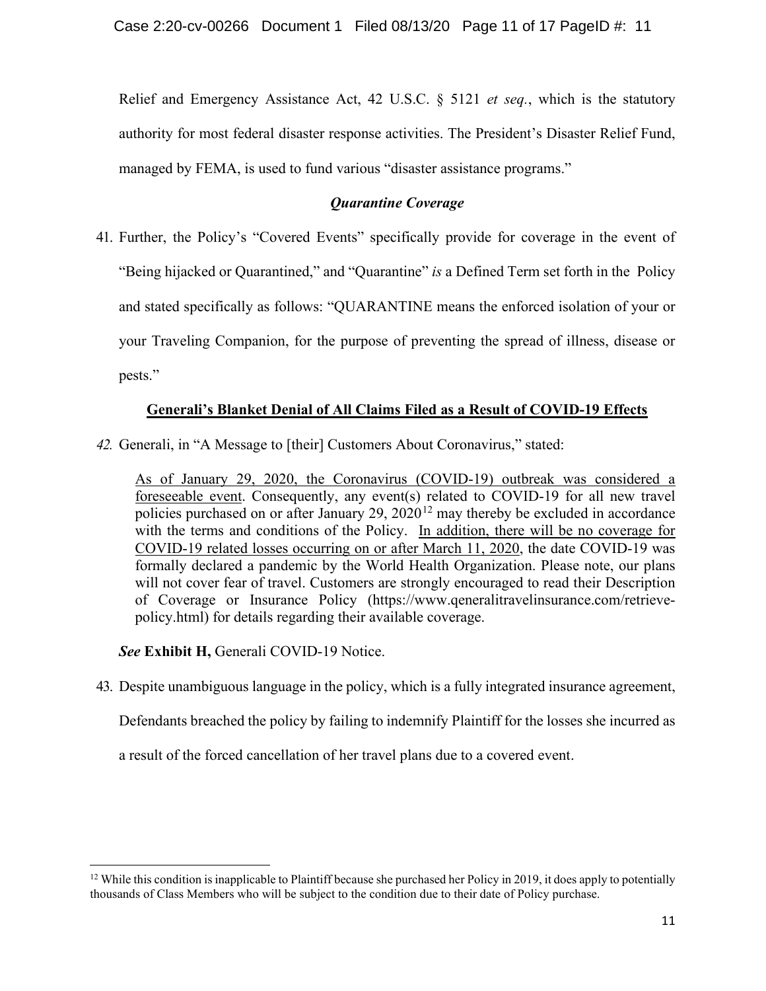Relief and Emergency Assistance Act, 42 U.S.C. § 5121 *et seq.*, which is the statutory authority for most federal disaster response activities. The President's Disaster Relief Fund, managed by FEMA, is used to fund various "disaster assistance programs."

# *Quarantine Coverage*

41. Further, the Policy's "Covered Events" specifically provide for coverage in the event of "Being hijacked or Quarantined," and "Quarantine" *is* a Defined Term set forth in the Policy and stated specifically as follows: "QUARANTINE means the enforced isolation of your or your Traveling Companion, for the purpose of preventing the spread of illness, disease or pests."

# **Generali's Blanket Denial of All Claims Filed as a Result of COVID-19 Effects**

*42.* Generali, in "A Message to [their] Customers About Coronavirus," stated:

As of January 29, 2020, the Coronavirus (COVID-19) outbreak was considered a foreseeable event. Consequently, any event(s) related to COVID-19 for all new travel policies purchased on or after January 29,  $2020^{12}$  $2020^{12}$  $2020^{12}$  may thereby be excluded in accordance with the terms and conditions of the Policy. In addition, there will be no coverage for COVID-19 related losses occurring on or after March 11, 2020, the date COVID-19 was formally declared a pandemic by the World Health Organization. Please note, our plans will not cover fear of travel. Customers are strongly encouraged to read their Description of Coverage or Insurance Policy (https://www.qeneralitravelinsurance.com/retrievepolicy.html) for details regarding their available coverage.

*See* **Exhibit H,** Generali COVID-19 Notice.

43. Despite unambiguous language in the policy, which is a fully integrated insurance agreement,

Defendants breached the policy by failing to indemnify Plaintiff for the losses she incurred as

a result of the forced cancellation of her travel plans due to a covered event.

<span id="page-10-0"></span><sup>&</sup>lt;sup>12</sup> While this condition is inapplicable to Plaintiff because she purchased her Policy in 2019, it does apply to potentially thousands of Class Members who will be subject to the condition due to their date of Policy purchase.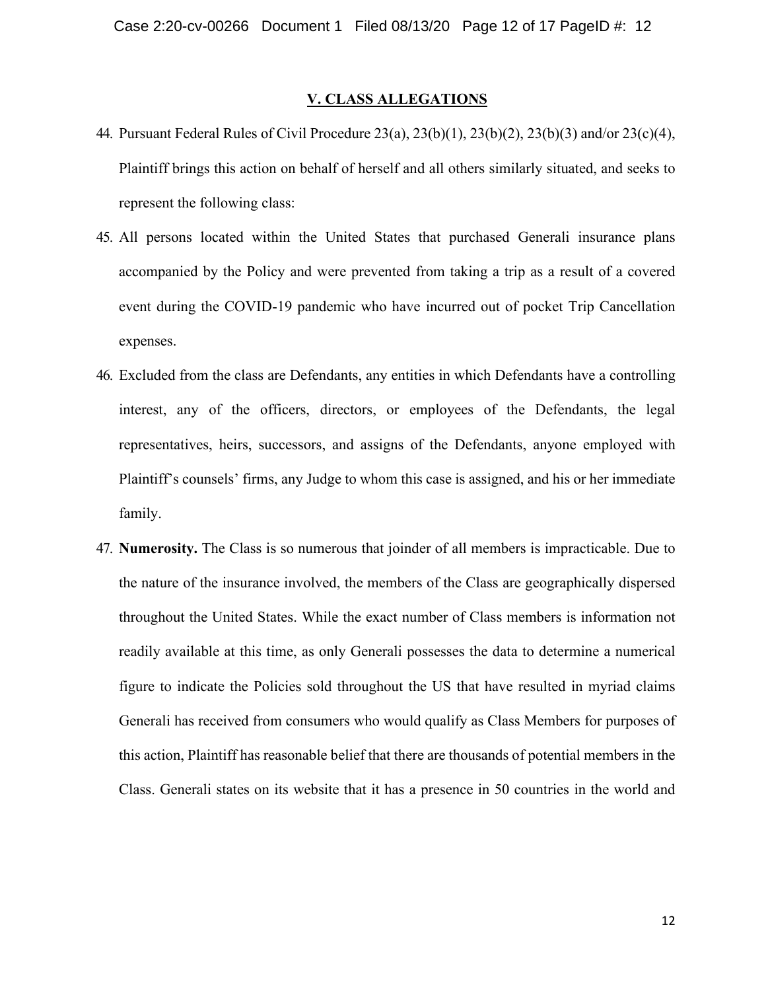#### **V. CLASS ALLEGATIONS**

- 44. Pursuant Federal Rules of Civil Procedure 23(a), 23(b)(1), 23(b)(2), 23(b)(3) and/or 23(c)(4), Plaintiff brings this action on behalf of herself and all others similarly situated, and seeks to represent the following class:
- 45. All persons located within the United States that purchased Generali insurance plans accompanied by the Policy and were prevented from taking a trip as a result of a covered event during the COVID-19 pandemic who have incurred out of pocket Trip Cancellation expenses.
- 46. Excluded from the class are Defendants, any entities in which Defendants have a controlling interest, any of the officers, directors, or employees of the Defendants, the legal representatives, heirs, successors, and assigns of the Defendants, anyone employed with Plaintiff's counsels' firms, any Judge to whom this case is assigned, and his or her immediate family.
- 47. **Numerosity.** The Class is so numerous that joinder of all members is impracticable. Due to the nature of the insurance involved, the members of the Class are geographically dispersed throughout the United States. While the exact number of Class members is information not readily available at this time, as only Generali possesses the data to determine a numerical figure to indicate the Policies sold throughout the US that have resulted in myriad claims Generali has received from consumers who would qualify as Class Members for purposes of this action, Plaintiff has reasonable belief that there are thousands of potential members in the Class. Generali states on its website that it has a presence in 50 countries in the world and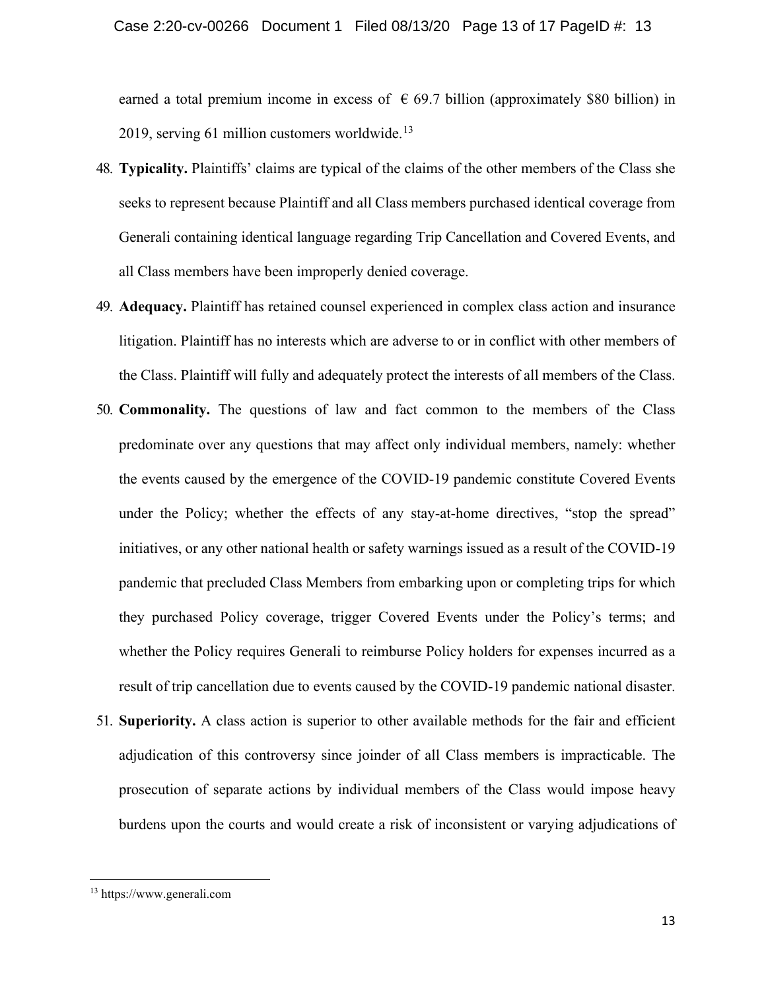earned a total premium income in excess of  $\epsilon$  69.7 billion (approximately \$80 billion) in 2019, serving 61 million customers worldwide. $13$ 

- 48. **Typicality.** Plaintiffs' claims are typical of the claims of the other members of the Class she seeks to represent because Plaintiff and all Class members purchased identical coverage from Generali containing identical language regarding Trip Cancellation and Covered Events, and all Class members have been improperly denied coverage.
- 49. **Adequacy.** Plaintiff has retained counsel experienced in complex class action and insurance litigation. Plaintiff has no interests which are adverse to or in conflict with other members of the Class. Plaintiff will fully and adequately protect the interests of all members of the Class.
- 50. **Commonality.** The questions of law and fact common to the members of the Class predominate over any questions that may affect only individual members, namely: whether the events caused by the emergence of the COVID-19 pandemic constitute Covered Events under the Policy; whether the effects of any stay-at-home directives, "stop the spread" initiatives, or any other national health or safety warnings issued as a result of the COVID-19 pandemic that precluded Class Members from embarking upon or completing trips for which they purchased Policy coverage, trigger Covered Events under the Policy's terms; and whether the Policy requires Generali to reimburse Policy holders for expenses incurred as a result of trip cancellation due to events caused by the COVID-19 pandemic national disaster.
- 51. **Superiority.** A class action is superior to other available methods for the fair and efficient adjudication of this controversy since joinder of all Class members is impracticable. The prosecution of separate actions by individual members of the Class would impose heavy burdens upon the courts and would create a risk of inconsistent or varying adjudications of

<span id="page-12-0"></span><sup>13</sup> https://www.generali.com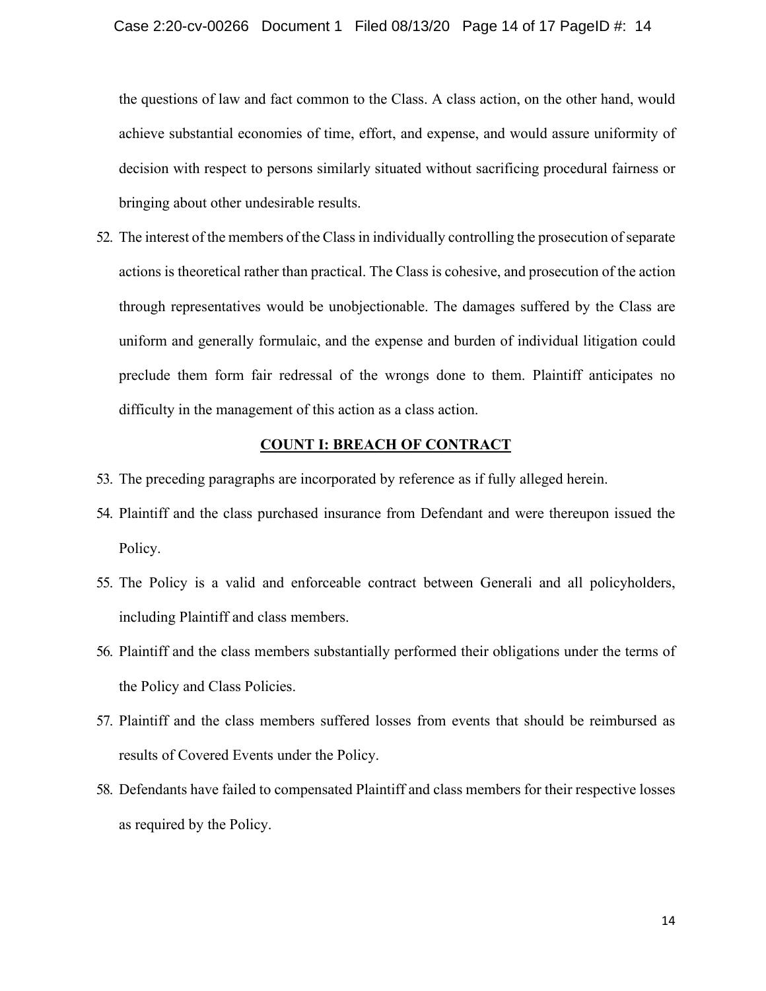the questions of law and fact common to the Class. A class action, on the other hand, would achieve substantial economies of time, effort, and expense, and would assure uniformity of decision with respect to persons similarly situated without sacrificing procedural fairness or bringing about other undesirable results.

52. The interest of the members of the Class in individually controlling the prosecution of separate actions is theoretical rather than practical. The Class is cohesive, and prosecution of the action through representatives would be unobjectionable. The damages suffered by the Class are uniform and generally formulaic, and the expense and burden of individual litigation could preclude them form fair redressal of the wrongs done to them. Plaintiff anticipates no difficulty in the management of this action as a class action.

### **COUNT I: BREACH OF CONTRACT**

- 53. The preceding paragraphs are incorporated by reference as if fully alleged herein.
- 54. Plaintiff and the class purchased insurance from Defendant and were thereupon issued the Policy.
- 55. The Policy is a valid and enforceable contract between Generali and all policyholders, including Plaintiff and class members.
- 56. Plaintiff and the class members substantially performed their obligations under the terms of the Policy and Class Policies.
- 57. Plaintiff and the class members suffered losses from events that should be reimbursed as results of Covered Events under the Policy.
- 58. Defendants have failed to compensated Plaintiff and class members for their respective losses as required by the Policy.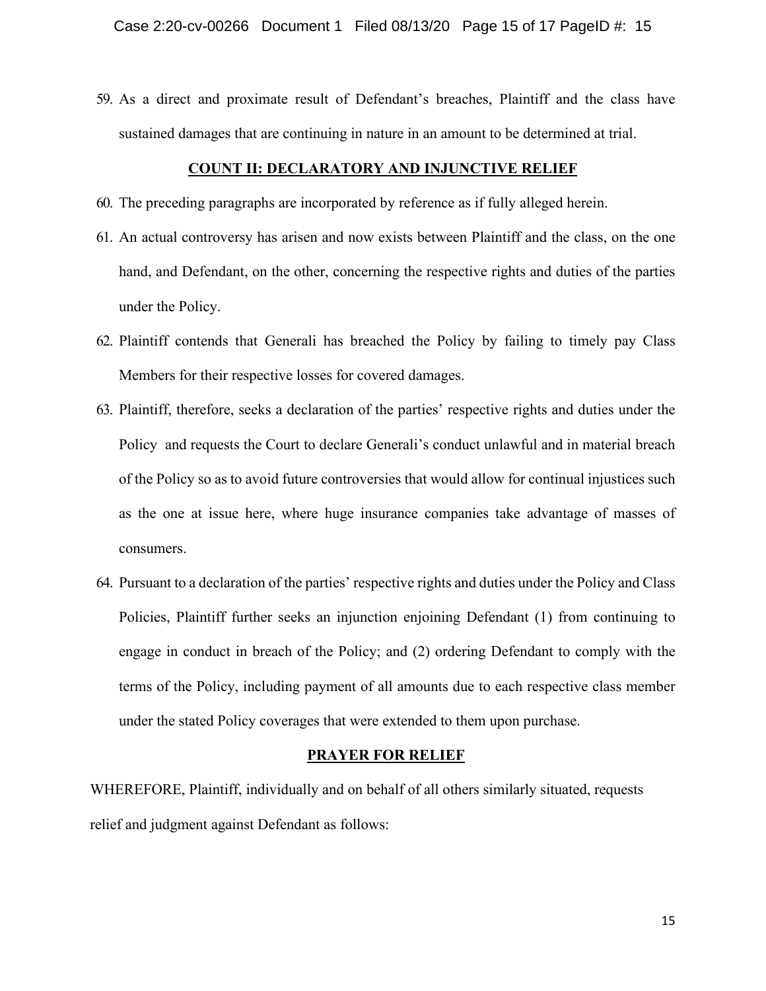59. As a direct and proximate result of Defendant's breaches, Plaintiff and the class have sustained damages that are continuing in nature in an amount to be determined at trial.

### **COUNT II: DECLARATORY AND INJUNCTIVE RELIEF**

- 60. The preceding paragraphs are incorporated by reference as if fully alleged herein.
- 61. An actual controversy has arisen and now exists between Plaintiff and the class, on the one hand, and Defendant, on the other, concerning the respective rights and duties of the parties under the Policy.
- 62. Plaintiff contends that Generali has breached the Policy by failing to timely pay Class Members for their respective losses for covered damages.
- 63. Plaintiff, therefore, seeks a declaration of the parties' respective rights and duties under the Policy and requests the Court to declare Generali's conduct unlawful and in material breach of the Policy so as to avoid future controversies that would allow for continual injustices such as the one at issue here, where huge insurance companies take advantage of masses of consumers.
- 64. Pursuant to a declaration of the parties' respective rights and duties under the Policy and Class Policies, Plaintiff further seeks an injunction enjoining Defendant (1) from continuing to engage in conduct in breach of the Policy; and (2) ordering Defendant to comply with the terms of the Policy, including payment of all amounts due to each respective class member under the stated Policy coverages that were extended to them upon purchase.

### **PRAYER FOR RELIEF**

WHEREFORE, Plaintiff, individually and on behalf of all others similarly situated, requests relief and judgment against Defendant as follows: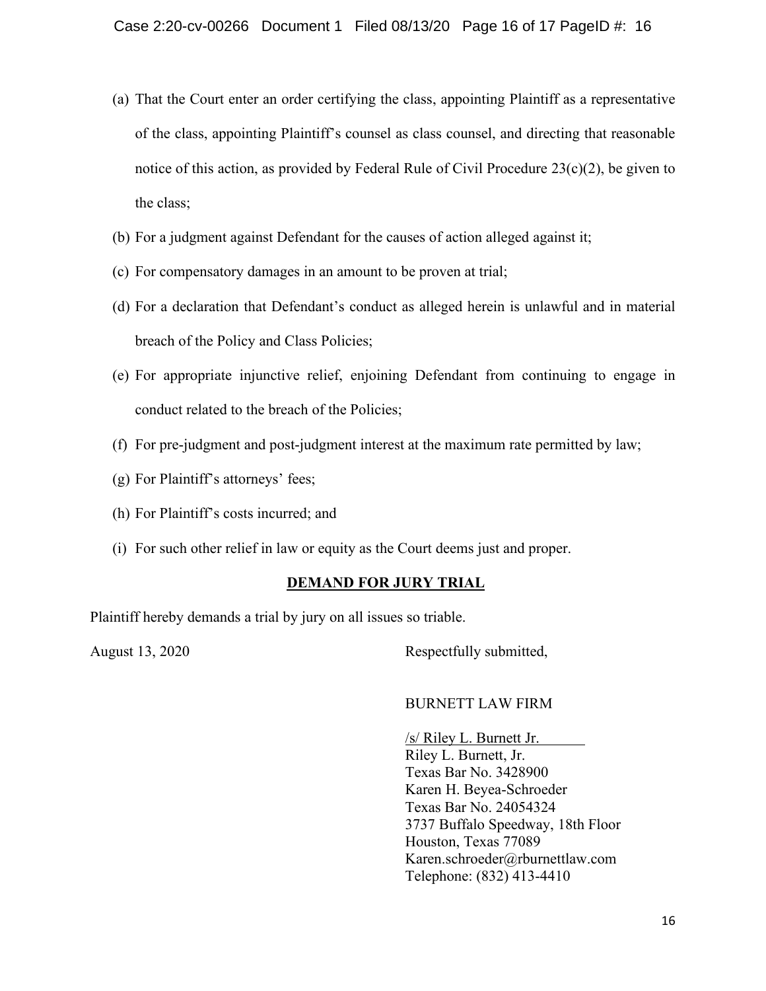- (a) That the Court enter an order certifying the class, appointing Plaintiff as a representative of the class, appointing Plaintiff's counsel as class counsel, and directing that reasonable notice of this action, as provided by Federal Rule of Civil Procedure  $23(c)(2)$ , be given to the class;
- (b) For a judgment against Defendant for the causes of action alleged against it;
- (c) For compensatory damages in an amount to be proven at trial;
- (d) For a declaration that Defendant's conduct as alleged herein is unlawful and in material breach of the Policy and Class Policies;
- (e) For appropriate injunctive relief, enjoining Defendant from continuing to engage in conduct related to the breach of the Policies;
- (f) For pre-judgment and post-judgment interest at the maximum rate permitted by law;
- (g) For Plaintiff's attorneys' fees;
- (h) For Plaintiff's costs incurred; and
- (i) For such other relief in law or equity as the Court deems just and proper.

### **DEMAND FOR JURY TRIAL**

Plaintiff hereby demands a trial by jury on all issues so triable.

August 13, 2020 Respectfully submitted,

### BURNETT LAW FIRM

/s/ Riley L. Burnett Jr. Riley L. Burnett, Jr. Texas Bar No. 3428900 Karen H. Beyea-Schroeder Texas Bar No. 24054324 3737 Buffalo Speedway, 18th Floor Houston, Texas 77089 Karen.schroeder@rburnettlaw.com Telephone: (832) 413-4410